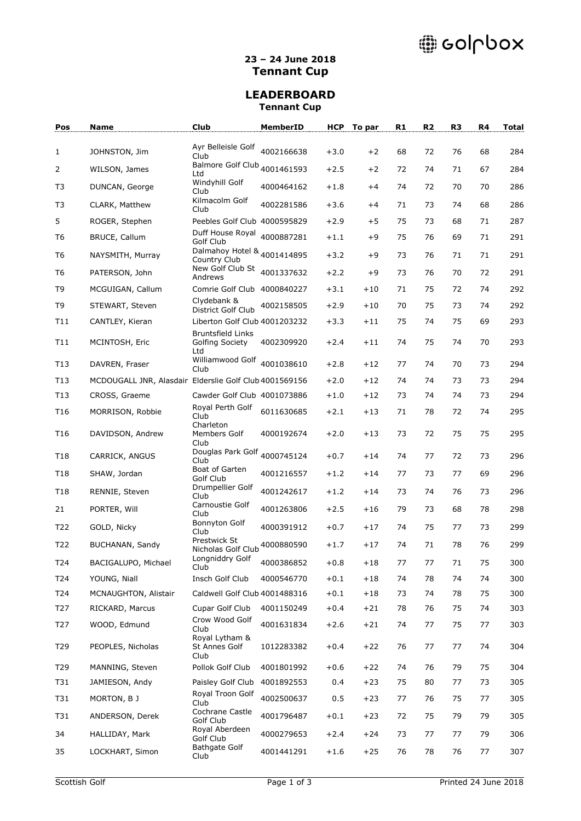# @ collpox

### **23 – 24 June 2018 Tennant Cup**

### **LEADERBOARD Tennant Cup**

| Pos             | Name                                                   | Club                                                   | MemberID   | <b>HCP</b> | To par  | R <sub>1</sub> | R <sub>2</sub> | R <sub>3</sub> | R4 | <b>Total</b> |
|-----------------|--------------------------------------------------------|--------------------------------------------------------|------------|------------|---------|----------------|----------------|----------------|----|--------------|
| $\mathbf{1}$    | JOHNSTON, Jim                                          | Ayr Belleisle Golf                                     | 4002166638 | $+3.0$     | $+2$    | 68             | 72             | 76             | 68 | 284          |
| $\overline{2}$  |                                                        | Club<br>Balmore Golf Club <sub>4001461593</sub>        |            | $+2.5$     | $+2$    | 72             | 74             | 71             | 67 | 284          |
|                 | WILSON, James                                          | Ltd<br>Windyhill Golf                                  |            |            |         |                |                |                |    |              |
| T3              | DUNCAN, George                                         | Club<br>Kilmacolm Golf                                 | 4000464162 | $+1.8$     | $+4$    | 74             | 72             | 70             | 70 | 286          |
| T3              | CLARK, Matthew                                         | Club                                                   | 4002281586 | $+3.6$     | $+4$    | 71             | 73             | 74             | 68 | 286          |
| 5               | ROGER, Stephen                                         | Peebles Golf Club 4000595829                           |            | $+2.9$     | $+5$    | 75             | 73             | 68             | 71 | 287          |
| T6              | BRUCE, Callum                                          | Duff House Royal<br>Golf Club                          | 4000887281 | $+1.1$     | +9      | 75             | 76             | 69             | 71 | 291          |
| T6              | NAYSMITH, Murray                                       | Dalmahoy Hotel & <sub>4001414895</sub><br>Country Club |            | $+3.2$     | +9      | 73             | 76             | 71             | 71 | 291          |
| T6              | PATERSON, John                                         | New Golf Club St<br>Andrews                            | 4001337632 | $+2.2$     | +9      | 73             | 76             | 70             | 72 | 291          |
| T9              | MCGUIGAN, Callum                                       | Comrie Golf Club 4000840227                            |            | $+3.1$     | $+10$   | 71             | 75             | 72             | 74 | 292          |
| T9              | STEWART, Steven                                        | Clydebank &<br>District Golf Club                      | 4002158505 | $+2.9$     | $+10$   | 70             | 75             | 73             | 74 | 292          |
| T11             | CANTLEY, Kieran                                        | Liberton Golf Club 4001203232                          |            | $+3.3$     | $+11$   | 75             | 74             | 75             | 69 | 293          |
| T11             | MCINTOSH, Eric                                         | <b>Bruntsfield Links</b><br>Golfing Society<br>Ltd     | 4002309920 | $+2.4$     | $+11$   | 74             | 75             | 74             | 70 | 293          |
| T13             | DAVREN, Fraser                                         | Williamwood Golf<br>Club                               | 4001038610 | $+2.8$     | $+12$   | 77             | 74             | 70             | 73 | 294          |
| T13             | MCDOUGALL JNR, Alasdair Elderslie Golf Club 4001569156 |                                                        |            | $+2.0$     | $+12$   | 74             | 74             | 73             | 73 | 294          |
| T <sub>13</sub> | CROSS, Graeme                                          | Cawder Golf Club 4001073886                            |            | $+1.0$     | $+12$   | 73             | 74             | 74             | 73 | 294          |
| T <sub>16</sub> | MORRISON, Robbie                                       | Royal Perth Golf<br>Club<br>Charleton                  | 6011630685 | $+2.1$     | $+13$   | 71             | 78             | 72             | 74 | 295          |
| T <sub>16</sub> | DAVIDSON, Andrew                                       | Members Golf<br>Club                                   | 4000192674 | $+2.0$     | $+13$   | 73             | 72             | 75             | 75 | 295          |
| T <sub>18</sub> | CARRICK, ANGUS                                         | Douglas Park Golf <sub>4000745124</sub><br>Club        |            | $+0.7$     | $+14$   | 74             | 77             | 72             | 73 | 296          |
| T18             | SHAW, Jordan                                           | Boat of Garten<br>Golf Club                            | 4001216557 | $+1.2$     | $+14$   | 77             | 73             | 77             | 69 | 296          |
| T18             | RENNIE, Steven                                         | Drumpellier Golf<br>Club                               | 4001242617 | $+1.2$     | $+14$   | 73             | 74             | 76             | 73 | 296          |
| 21              | PORTER, Will                                           | Carnoustie Golf<br>Club                                | 4001263806 | $+2.5$     | $+16$   | 79             | 73             | 68             | 78 | 298          |
| T22             | GOLD, Nicky                                            | Bonnyton Golf<br>Club                                  | 4000391912 | $+0.7$     | $+17$   | 74             | 75             | 77             | 73 | 299          |
| T22             | BUCHANAN, Sandy                                        | Prestwick St<br>Nicholas Golf Club                     | 4000880590 | $+1.7$     | $+17$   | 74             | 71             | 78             | 76 | 299          |
| T24             | BACIGALUPO, Michael                                    | Longniddry Golf<br>Club                                | 4000386852 | $+0.8$     | $+18\,$ | 77             | 77             | $71\,$         | 75 | 300          |
| T24             | YOUNG, Niall                                           | Insch Golf Club                                        | 4000546770 | $+0.1$     | $+18$   | 74             | 78             | 74             | 74 | 300          |
| T24             | MCNAUGHTON, Alistair                                   | Caldwell Golf Club 4001488316                          |            | $+0.1$     | $+18$   | 73             | 74             | 78             | 75 | 300          |
| T27             | RICKARD, Marcus                                        | Cupar Golf Club                                        | 4001150249 | $+0.4$     | $+21$   | 78             | 76             | 75             | 74 | 303          |
| T27             | WOOD, Edmund                                           | Crow Wood Golf<br>Club<br>Royal Lytham &               | 4001631834 | $+2.6$     | $+21$   | 74             | 77             | 75             | 77 | 303          |
| T29             | PEOPLES, Nicholas                                      | St Annes Golf<br>Club                                  | 1012283382 | $+0.4$     | $+22$   | 76             | 77             | 77             | 74 | 304          |
| T29             | MANNING, Steven                                        | Pollok Golf Club                                       | 4001801992 | $+0.6$     | $+22$   | 74             | 76             | 79             | 75 | 304          |
| T31             | JAMIESON, Andy                                         | Paisley Golf Club                                      | 4001892553 | 0.4        | $+23$   | 75             | 80             | 77             | 73 | 305          |
| T31             | MORTON, BJ                                             | Royal Troon Golf<br>Club                               | 4002500637 | 0.5        | $+23$   | 77             | 76             | 75             | 77 | 305          |
| T31             | ANDERSON, Derek                                        | Cochrane Castle<br>Golf Club                           | 4001796487 | $+0.1$     | $+23$   | 72             | 75             | 79             | 79 | 305          |
| 34              | HALLIDAY, Mark                                         | Royal Aberdeen<br>Golf Club                            | 4000279653 | $+2.4$     | $+24$   | 73             | 77             | 77             | 79 | 306          |
| 35              | LOCKHART, Simon                                        | <b>Bathgate Golf</b><br>Club                           | 4001441291 | $+1.6$     | $+25$   | 76             | 78             | 76             | 77 | 307          |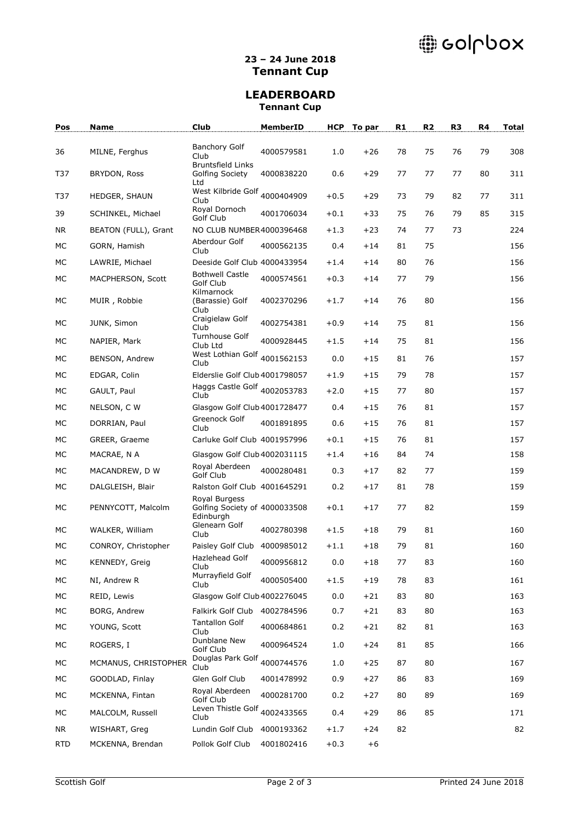# @ collpox

### **23 – 24 June 2018 Tennant Cup**

### **LEADERBOARD Tennant Cup**

| Pos        | <b>Name</b>          | Club                                                        | MemberID   | <b>HCP</b> | To par | R1 | R <sub>2</sub> | R <sub>3</sub> | R4 | <b>Total</b> |
|------------|----------------------|-------------------------------------------------------------|------------|------------|--------|----|----------------|----------------|----|--------------|
| 36         | MILNE, Ferghus       | <b>Banchory Golf</b>                                        | 4000579581 | 1.0        | $+26$  | 78 | 75             | 76             | 79 | 308          |
| T37        | BRYDON, Ross         | Club<br><b>Bruntsfield Links</b><br>Golfing Society<br>Ltd  | 4000838220 | 0.6        | $+29$  | 77 | 77             | 77             | 80 | 311          |
| T37        | HEDGER, SHAUN        | West Kilbride Golf <sub>4000404909</sub><br>Club            |            | $+0.5$     | $+29$  | 73 | 79             | 82             | 77 | 311          |
| 39         | SCHINKEL, Michael    | Royal Dornoch<br>Golf Club                                  | 4001706034 | $+0.1$     | $+33$  | 75 | 76             | 79             | 85 | 315          |
| NR.        | BEATON (FULL), Grant | NO CLUB NUMBER4000396468                                    |            | $+1.3$     | $+23$  | 74 | 77             | 73             |    | 224          |
| МC         | GORN, Hamish         | Aberdour Golf<br>Club                                       | 4000562135 | 0.4        | $+14$  | 81 | 75             |                |    | 156          |
| МC         | LAWRIE, Michael      | Deeside Golf Club 4000433954                                |            | $+1.4$     | $+14$  | 80 | 76             |                |    | 156          |
| MC         | MACPHERSON, Scott    | <b>Bothwell Castle</b><br>Golf Club                         | 4000574561 | $+0.3$     | $+14$  | 77 | 79             |                |    | 156          |
| MC         | MUIR, Robbie         | Kilmarnock<br>(Barassie) Golf<br>Club                       | 4002370296 | $+1.7$     | $+14$  | 76 | 80             |                |    | 156          |
| MC         | JUNK, Simon          | Craigielaw Golf<br>Club                                     | 4002754381 | $+0.9$     | $+14$  | 75 | 81             |                |    | 156          |
| MC         | NAPIER, Mark         | Turnhouse Golf<br>Club Ltd                                  | 4000928445 | $+1.5$     | $+14$  | 75 | 81             |                |    | 156          |
| МC         | BENSON, Andrew       | West Lothian Golf<br>Club                                   | 4001562153 | 0.0        | $+15$  | 81 | 76             |                |    | 157          |
| МC         | EDGAR, Colin         | Elderslie Golf Club 4001798057                              |            | $+1.9$     | $+15$  | 79 | 78             |                |    | 157          |
| <b>MC</b>  | GAULT, Paul          | Haggs Castle Golf <sub>4002053783</sub><br>Club             |            | $+2.0$     | $+15$  | 77 | 80             |                |    | 157          |
| МC         | NELSON, C W          | Glasgow Golf Club 4001728477                                |            | 0.4        | $+15$  | 76 | 81             |                |    | 157          |
| MC         | DORRIAN, Paul        | Greenock Golf<br>Club                                       | 4001891895 | 0.6        | $+15$  | 76 | 81             |                |    | 157          |
| <b>MC</b>  | GREER, Graeme        | Carluke Golf Club 4001957996                                |            | $+0.1$     | $+15$  | 76 | 81             |                |    | 157          |
| MC         | MACRAE, N A          | Glasgow Golf Club 4002031115                                |            | $+1.4$     | $+16$  | 84 | 74             |                |    | 158          |
| MC         | MACANDREW, D W       | Royal Aberdeen<br>Golf Club                                 | 4000280481 | 0.3        | $+17$  | 82 | 77             |                |    | 159          |
| МC         | DALGLEISH, Blair     | Ralston Golf Club 4001645291                                |            | 0.2        | $+17$  | 81 | 78             |                |    | 159          |
| MC         | PENNYCOTT, Malcolm   | Royal Burgess<br>Golfing Society of 4000033508<br>Edinburgh |            | $+0.1$     | $+17$  | 77 | 82             |                |    | 159          |
| MC         | WALKER, William      | Glenearn Golf<br>Club                                       | 4002780398 | $+1.5$     | $+18$  | 79 | 81             |                |    | 160          |
| <b>MC</b>  | CONROY, Christopher  | Paisley Golf Club 4000985012                                |            | $+1.1$     | $+18$  | 79 | 81             |                |    | 160          |
| МC         | KENNEDY, Greig       | Hazlehead Golf<br>Club                                      | 4000956812 | 0.0        | $+18$  | 77 | 83             |                |    | 160          |
| MC         | NI, Andrew R         | Murrayfield Golf<br>Club                                    | 4000505400 | $+1.5$     | $+19$  | 78 | 83             |                |    | 161          |
| МC         | REID, Lewis          | Glasgow Golf Club 4002276045                                |            | 0.0        | $+21$  | 83 | 80             |                |    | 163          |
| МC         | BORG, Andrew         | Falkirk Golf Club                                           | 4002784596 | 0.7        | $+21$  | 83 | 80             |                |    | 163          |
| МC         | YOUNG, Scott         | <b>Tantallon Golf</b><br>Club                               | 4000684861 | 0.2        | $+21$  | 82 | 81             |                |    | 163          |
| МC         | ROGERS, I            | Dunblane New<br>Golf Club                                   | 4000964524 | 1.0        | $+24$  | 81 | 85             |                |    | 166          |
| МC         | MCMANUS, CHRISTOPHER | Douglas Park Golf <sub>4000744576</sub><br>Club             |            | 1.0        | $+25$  | 87 | 80             |                |    | 167          |
| МC         | GOODLAD, Finlay      | Glen Golf Club                                              | 4001478992 | 0.9        | $+27$  | 86 | 83             |                |    | 169          |
| МC         | MCKENNA, Fintan      | Royal Aberdeen<br>Golf Club                                 | 4000281700 | 0.2        | $+27$  | 80 | 89             |                |    | 169          |
| МC         | MALCOLM, Russell     | Leven Thistle Golf<br>Club                                  | 4002433565 | 0.4        | $+29$  | 86 | 85             |                |    | 171          |
| <b>NR</b>  | WISHART, Greg        | Lundin Golf Club                                            | 4000193362 | $+1.7$     | $+24$  | 82 |                |                |    | 82           |
| <b>RTD</b> | MCKENNA, Brendan     | Pollok Golf Club                                            | 4001802416 | $+0.3$     | $+6$   |    |                |                |    |              |